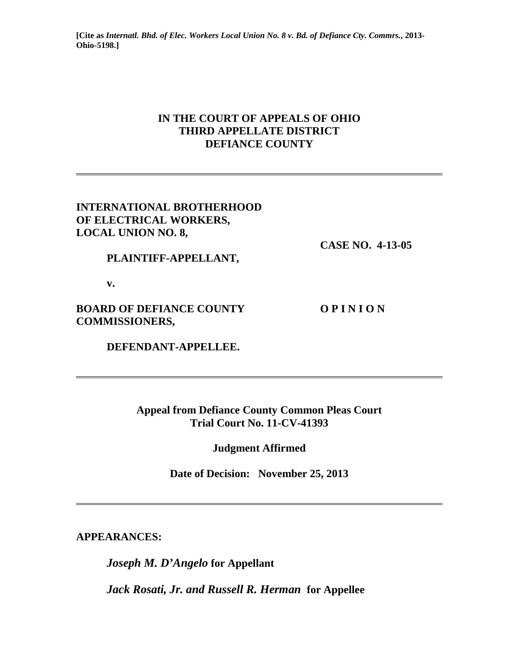**[Cite as** *Internatl. Bhd. of Elec. Workers Local Union No. 8 v. Bd. of Defiance Cty. Commrs.***, 2013- Ohio-5198.]**

# **IN THE COURT OF APPEALS OF OHIO THIRD APPELLATE DISTRICT DEFIANCE COUNTY**

## **INTERNATIONAL BROTHERHOOD OF ELECTRICAL WORKERS, LOCAL UNION NO. 8,**

 **CASE NO. 4-13-05** 

 **PLAINTIFF-APPELLANT,** 

 **v.** 

**BOARD OF DEFIANCE COUNTY OPINION COMMISSIONERS,** 

 **DEFENDANT-APPELLEE.** 

**Appeal from Defiance County Common Pleas Court Trial Court No. 11-CV-41393** 

**Judgment Affirmed** 

**Date of Decision: November 25, 2013** 

**APPEARANCES:** 

*Joseph M. D'Angelo* **for Appellant** 

*Jack Rosati, Jr. and Russell R. Herman* **for Appellee**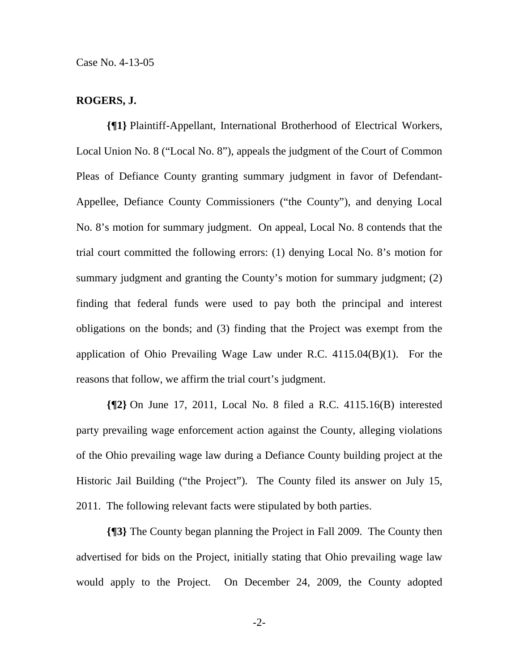### **ROGERS, J.**

**{¶1}** Plaintiff-Appellant, International Brotherhood of Electrical Workers, Local Union No. 8 ("Local No. 8"), appeals the judgment of the Court of Common Pleas of Defiance County granting summary judgment in favor of Defendant-Appellee, Defiance County Commissioners ("the County"), and denying Local No. 8's motion for summary judgment. On appeal, Local No. 8 contends that the trial court committed the following errors: (1) denying Local No. 8's motion for summary judgment and granting the County's motion for summary judgment; (2) finding that federal funds were used to pay both the principal and interest obligations on the bonds; and (3) finding that the Project was exempt from the application of Ohio Prevailing Wage Law under R.C. 4115.04(B)(1). For the reasons that follow, we affirm the trial court's judgment.

**{¶2}** On June 17, 2011, Local No. 8 filed a R.C. 4115.16(B) interested party prevailing wage enforcement action against the County, alleging violations of the Ohio prevailing wage law during a Defiance County building project at the Historic Jail Building ("the Project"). The County filed its answer on July 15, 2011. The following relevant facts were stipulated by both parties.

**{¶3}** The County began planning the Project in Fall 2009. The County then advertised for bids on the Project, initially stating that Ohio prevailing wage law would apply to the Project. On December 24, 2009, the County adopted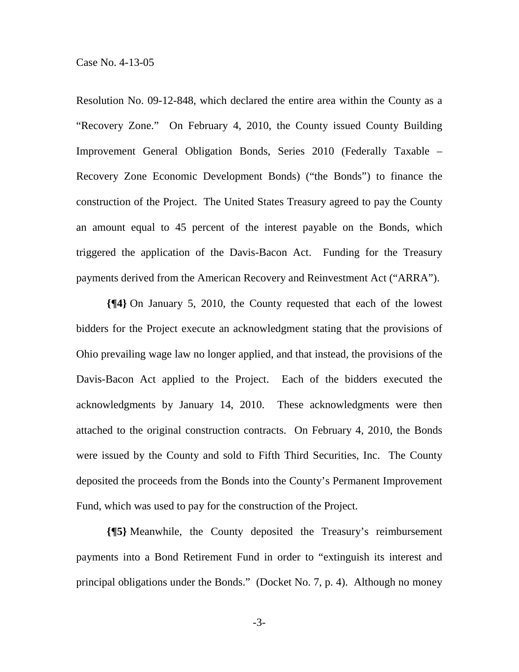Resolution No. 09-12-848, which declared the entire area within the County as a "Recovery Zone." On February 4, 2010, the County issued County Building Improvement General Obligation Bonds, Series 2010 (Federally Taxable – Recovery Zone Economic Development Bonds) ("the Bonds") to finance the construction of the Project. The United States Treasury agreed to pay the County an amount equal to 45 percent of the interest payable on the Bonds, which triggered the application of the Davis-Bacon Act. Funding for the Treasury payments derived from the American Recovery and Reinvestment Act ("ARRA").

**{¶4}** On January 5, 2010, the County requested that each of the lowest bidders for the Project execute an acknowledgment stating that the provisions of Ohio prevailing wage law no longer applied, and that instead, the provisions of the Davis-Bacon Act applied to the Project. Each of the bidders executed the acknowledgments by January 14, 2010. These acknowledgments were then attached to the original construction contracts. On February 4, 2010, the Bonds were issued by the County and sold to Fifth Third Securities, Inc. The County deposited the proceeds from the Bonds into the County's Permanent Improvement Fund, which was used to pay for the construction of the Project.

**{¶5}** Meanwhile, the County deposited the Treasury's reimbursement payments into a Bond Retirement Fund in order to "extinguish its interest and principal obligations under the Bonds." (Docket No. 7, p. 4). Although no money

-3-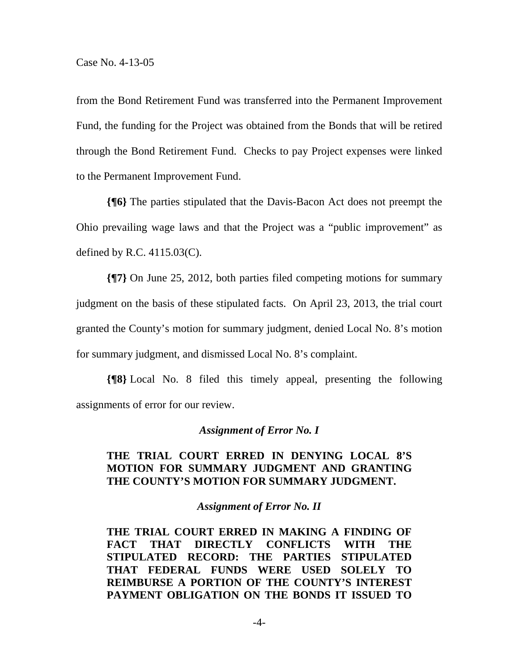from the Bond Retirement Fund was transferred into the Permanent Improvement Fund, the funding for the Project was obtained from the Bonds that will be retired through the Bond Retirement Fund. Checks to pay Project expenses were linked to the Permanent Improvement Fund.

**{¶6}** The parties stipulated that the Davis-Bacon Act does not preempt the Ohio prevailing wage laws and that the Project was a "public improvement" as defined by R.C. 4115.03(C).

**{¶7}** On June 25, 2012, both parties filed competing motions for summary judgment on the basis of these stipulated facts. On April 23, 2013, the trial court granted the County's motion for summary judgment, denied Local No. 8's motion for summary judgment, and dismissed Local No. 8's complaint.

**{¶8}** Local No. 8 filed this timely appeal, presenting the following assignments of error for our review.

### *Assignment of Error No. I*

# **THE TRIAL COURT ERRED IN DENYING LOCAL 8'S MOTION FOR SUMMARY JUDGMENT AND GRANTING THE COUNTY'S MOTION FOR SUMMARY JUDGMENT.**

#### *Assignment of Error No. II*

**THE TRIAL COURT ERRED IN MAKING A FINDING OF FACT THAT DIRECTLY CONFLICTS WITH THE STIPULATED RECORD: THE PARTIES STIPULATED THAT FEDERAL FUNDS WERE USED SOLELY TO REIMBURSE A PORTION OF THE COUNTY'S INTEREST PAYMENT OBLIGATION ON THE BONDS IT ISSUED TO**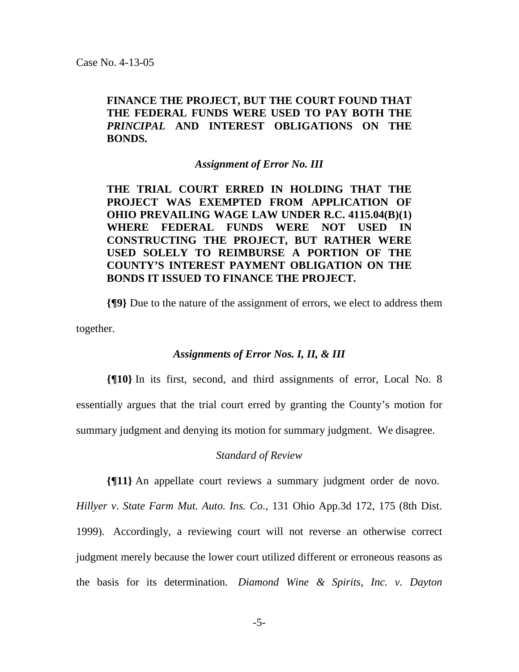# **FINANCE THE PROJECT, BUT THE COURT FOUND THAT THE FEDERAL FUNDS WERE USED TO PAY BOTH THE**  *PRINCIPAL* **AND INTEREST OBLIGATIONS ON THE BONDS.**

### *Assignment of Error No. III*

**THE TRIAL COURT ERRED IN HOLDING THAT THE PROJECT WAS EXEMPTED FROM APPLICATION OF OHIO PREVAILING WAGE LAW UNDER R.C. 4115.04(B)(1) WHERE FEDERAL FUNDS WERE NOT USED IN CONSTRUCTING THE PROJECT, BUT RATHER WERE USED SOLELY TO REIMBURSE A PORTION OF THE COUNTY'S INTEREST PAYMENT OBLIGATION ON THE BONDS IT ISSUED TO FINANCE THE PROJECT.** 

**{¶9}** Due to the nature of the assignment of errors, we elect to address them together.

#### *Assignments of Error Nos. I, II, & III*

**{¶10}** In its first, second, and third assignments of error, Local No. 8 essentially argues that the trial court erred by granting the County's motion for summary judgment and denying its motion for summary judgment. We disagree.

#### *Standard of Review*

**{¶11}** An appellate court reviews a summary judgment order de novo.

*Hillyer v*. *State Farm Mut. Auto. Ins. Co.*, 131 Ohio App.3d 172, 175 (8th Dist. 1999). Accordingly, a reviewing court will not reverse an otherwise correct judgment merely because the lower court utilized different or erroneous reasons as the basis for its determination. *Diamond Wine & Spirits, Inc. v. Dayton*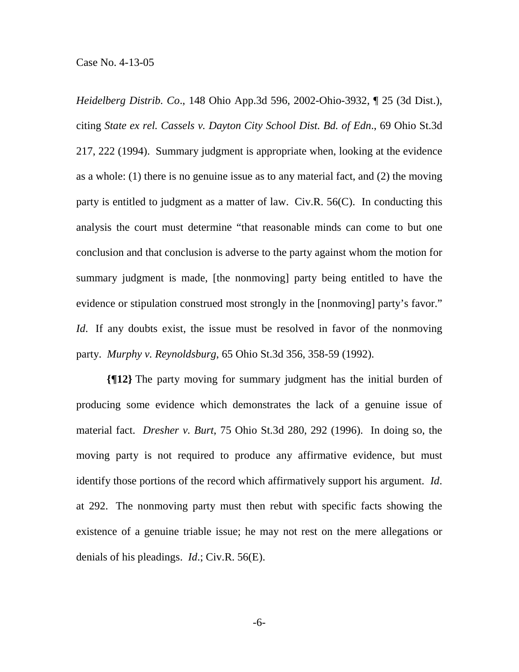Case No. 4-13-05

*Heidelberg Distrib. Co*., 148 Ohio App.3d 596, 2002-Ohio-3932, ¶ 25 (3d Dist.), citing *State ex rel. Cassels v. Dayton City School Dist. Bd. of Edn*., 69 Ohio St.3d 217, 222 (1994). Summary judgment is appropriate when, looking at the evidence as a whole: (1) there is no genuine issue as to any material fact, and (2) the moving party is entitled to judgment as a matter of law. Civ.R. 56(C). In conducting this analysis the court must determine "that reasonable minds can come to but one conclusion and that conclusion is adverse to the party against whom the motion for summary judgment is made, [the nonmoving] party being entitled to have the evidence or stipulation construed most strongly in the [nonmoving] party's favor." *Id*. If any doubts exist, the issue must be resolved in favor of the nonmoving party. *Murphy v. Reynoldsburg*, 65 Ohio St.3d 356, 358-59 (1992).

**{¶12}** The party moving for summary judgment has the initial burden of producing some evidence which demonstrates the lack of a genuine issue of material fact. *Dresher v. Burt*, 75 Ohio St.3d 280, 292 (1996). In doing so, the moving party is not required to produce any affirmative evidence, but must identify those portions of the record which affirmatively support his argument. *Id*. at 292. The nonmoving party must then rebut with specific facts showing the existence of a genuine triable issue; he may not rest on the mere allegations or denials of his pleadings. *Id*.; Civ.R. 56(E).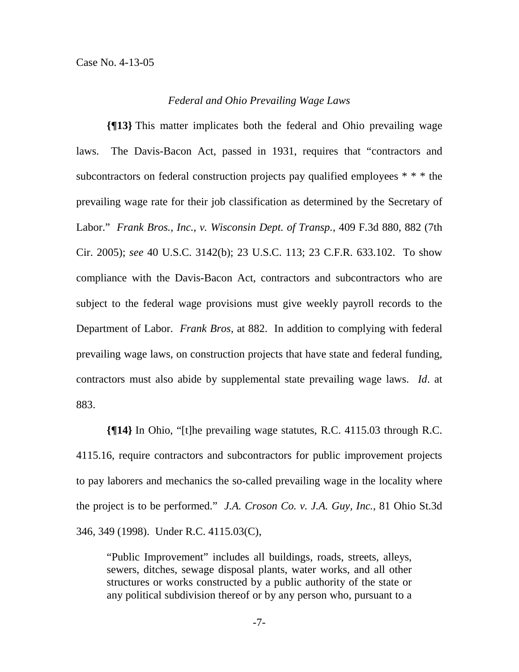### *Federal and Ohio Prevailing Wage Laws*

**{¶13}** This matter implicates both the federal and Ohio prevailing wage laws. The Davis-Bacon Act, passed in 1931, requires that "contractors and subcontractors on federal construction projects pay qualified employees \* \* \* the prevailing wage rate for their job classification as determined by the Secretary of Labor." *Frank Bros., Inc., v. Wisconsin Dept. of Transp.*, 409 F.3d 880, 882 (7th Cir. 2005); *see* 40 U.S.C. 3142(b); 23 U.S.C. 113; 23 C.F.R. 633.102. To show compliance with the Davis-Bacon Act, contractors and subcontractors who are subject to the federal wage provisions must give weekly payroll records to the Department of Labor. *Frank Bros*, at 882. In addition to complying with federal prevailing wage laws, on construction projects that have state and federal funding, contractors must also abide by supplemental state prevailing wage laws. *Id*. at 883.

**{¶14}** In Ohio, "[t]he prevailing wage statutes, R.C. 4115.03 through R.C. 4115.16, require contractors and subcontractors for public improvement projects to pay laborers and mechanics the so-called prevailing wage in the locality where the project is to be performed." *J.A. Croson Co. v. J.A. Guy, Inc.*, 81 Ohio St.3d 346, 349 (1998). Under R.C. 4115.03(C),

"Public Improvement" includes all buildings, roads, streets, alleys, sewers, ditches, sewage disposal plants, water works, and all other structures or works constructed by a public authority of the state or any political subdivision thereof or by any person who, pursuant to a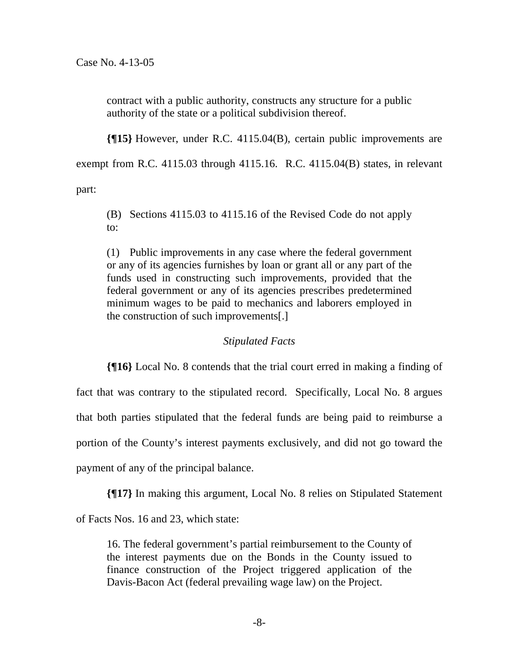contract with a public authority, constructs any structure for a public authority of the state or a political subdivision thereof.

**{¶15}** However, under R.C. 4115.04(B), certain public improvements are exempt from R.C. 4115.03 through 4115.16. R.C. 4115.04(B) states, in relevant

part:

(B) Sections 4115.03 to 4115.16 of the Revised Code do not apply to:

(1) Public improvements in any case where the federal government or any of its agencies furnishes by loan or grant all or any part of the funds used in constructing such improvements, provided that the federal government or any of its agencies prescribes predetermined minimum wages to be paid to mechanics and laborers employed in the construction of such improvements[.]

# *Stipulated Facts*

**{¶16}** Local No. 8 contends that the trial court erred in making a finding of fact that was contrary to the stipulated record. Specifically, Local No. 8 argues that both parties stipulated that the federal funds are being paid to reimburse a portion of the County's interest payments exclusively, and did not go toward the payment of any of the principal balance.

**{¶17}** In making this argument, Local No. 8 relies on Stipulated Statement

of Facts Nos. 16 and 23, which state:

16. The federal government's partial reimbursement to the County of the interest payments due on the Bonds in the County issued to finance construction of the Project triggered application of the Davis-Bacon Act (federal prevailing wage law) on the Project.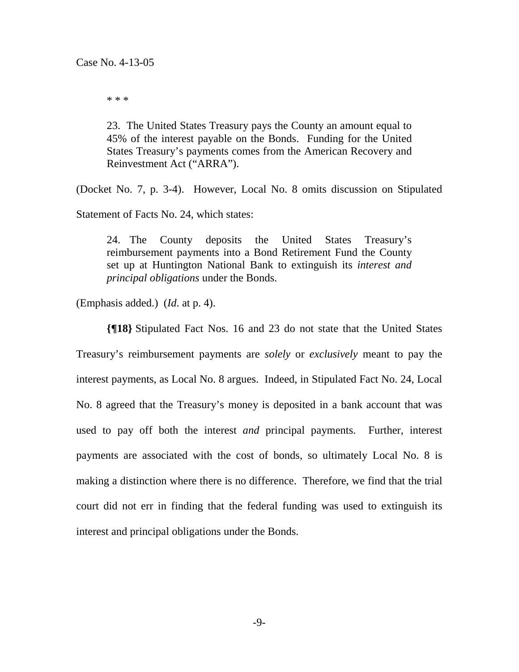\* \* \*

23. The United States Treasury pays the County an amount equal to 45% of the interest payable on the Bonds. Funding for the United States Treasury's payments comes from the American Recovery and Reinvestment Act ("ARRA").

(Docket No. 7, p. 3-4). However, Local No. 8 omits discussion on Stipulated

Statement of Facts No. 24, which states:

24. The County deposits the United States Treasury's reimbursement payments into a Bond Retirement Fund the County set up at Huntington National Bank to extinguish its *interest and principal obligations* under the Bonds.

(Emphasis added.) (*Id*. at p. 4).

**{¶18}** Stipulated Fact Nos. 16 and 23 do not state that the United States Treasury's reimbursement payments are *solely* or *exclusively* meant to pay the interest payments, as Local No. 8 argues. Indeed, in Stipulated Fact No. 24, Local No. 8 agreed that the Treasury's money is deposited in a bank account that was used to pay off both the interest *and* principal payments. Further, interest payments are associated with the cost of bonds, so ultimately Local No. 8 is making a distinction where there is no difference. Therefore, we find that the trial court did not err in finding that the federal funding was used to extinguish its interest and principal obligations under the Bonds.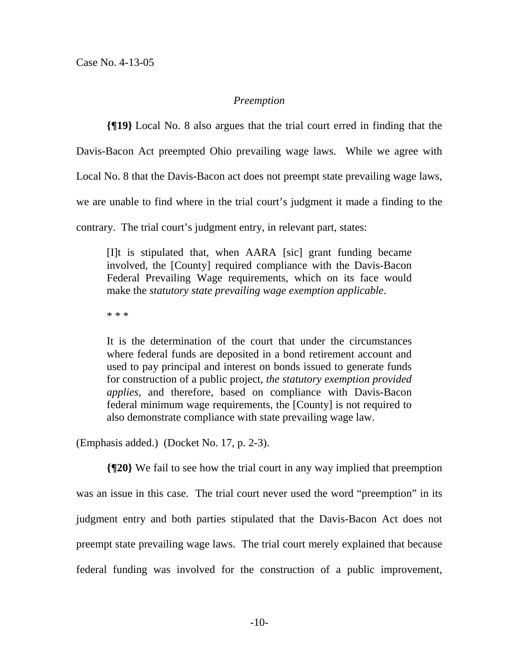## *Preemption*

**{¶19}** Local No. 8 also argues that the trial court erred in finding that the

Davis-Bacon Act preempted Ohio prevailing wage laws. While we agree with

Local No. 8 that the Davis-Bacon act does not preempt state prevailing wage laws,

we are unable to find where in the trial court's judgment it made a finding to the

contrary. The trial court's judgment entry, in relevant part, states:

[I]t is stipulated that, when AARA [sic] grant funding became involved, the [County] required compliance with the Davis-Bacon Federal Prevailing Wage requirements, which on its face would make the *statutory state prevailing wage exemption applicable*.

\* \* \*

It is the determination of the court that under the circumstances where federal funds are deposited in a bond retirement account and used to pay principal and interest on bonds issued to generate funds for construction of a public project, *the statutory exemption provided applies*, and therefore, based on compliance with Davis-Bacon federal minimum wage requirements, the [County] is not required to also demonstrate compliance with state prevailing wage law.

(Emphasis added.) (Docket No. 17, p. 2-3).

**{¶20}** We fail to see how the trial court in any way implied that preemption was an issue in this case. The trial court never used the word "preemption" in its judgment entry and both parties stipulated that the Davis-Bacon Act does not preempt state prevailing wage laws. The trial court merely explained that because federal funding was involved for the construction of a public improvement,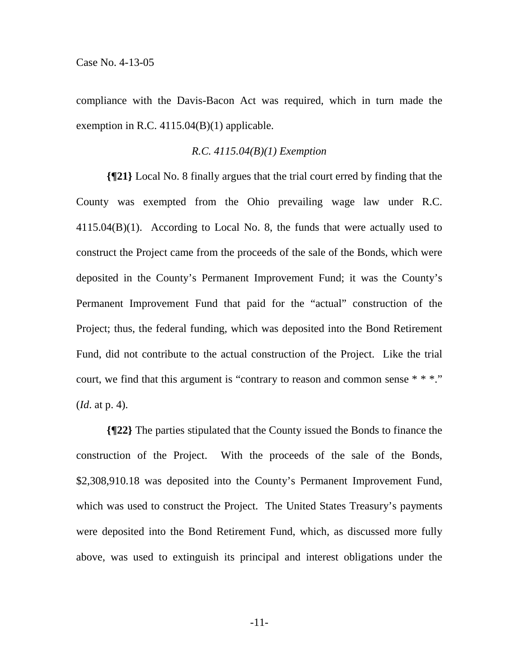compliance with the Davis-Bacon Act was required, which in turn made the exemption in R.C. 4115.04(B)(1) applicable.

### *R.C. 4115.04(B)(1) Exemption*

**{¶21}** Local No. 8 finally argues that the trial court erred by finding that the County was exempted from the Ohio prevailing wage law under R.C.  $4115.04(B)(1)$ . According to Local No. 8, the funds that were actually used to construct the Project came from the proceeds of the sale of the Bonds, which were deposited in the County's Permanent Improvement Fund; it was the County's Permanent Improvement Fund that paid for the "actual" construction of the Project; thus, the federal funding, which was deposited into the Bond Retirement Fund, did not contribute to the actual construction of the Project. Like the trial court, we find that this argument is "contrary to reason and common sense \* \* \*." (*Id*. at p. 4).

**{¶22}** The parties stipulated that the County issued the Bonds to finance the construction of the Project. With the proceeds of the sale of the Bonds, \$2,308,910.18 was deposited into the County's Permanent Improvement Fund, which was used to construct the Project. The United States Treasury's payments were deposited into the Bond Retirement Fund, which, as discussed more fully above, was used to extinguish its principal and interest obligations under the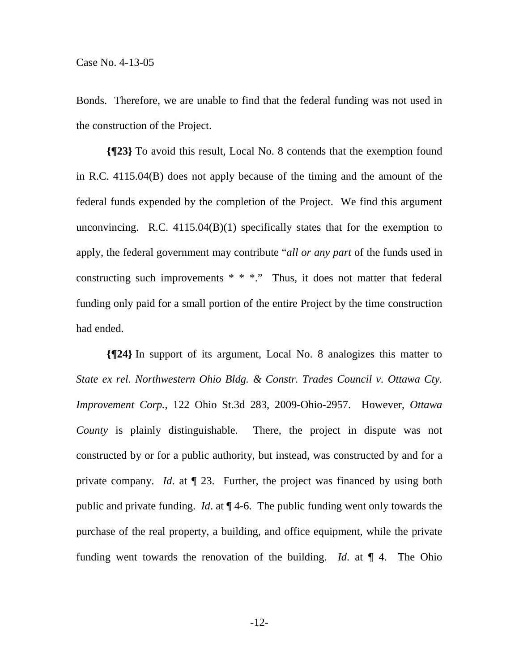Bonds. Therefore, we are unable to find that the federal funding was not used in the construction of the Project.

**{¶23}** To avoid this result, Local No. 8 contends that the exemption found in R.C. 4115.04(B) does not apply because of the timing and the amount of the federal funds expended by the completion of the Project. We find this argument unconvincing. R.C. 4115.04(B)(1) specifically states that for the exemption to apply, the federal government may contribute "*all or any part* of the funds used in constructing such improvements  $* * *$ ." Thus, it does not matter that federal funding only paid for a small portion of the entire Project by the time construction had ended.

**{¶24}** In support of its argument, Local No. 8 analogizes this matter to *State ex rel. Northwestern Ohio Bldg. & Constr. Trades Council v. Ottawa Cty. Improvement Corp.*, 122 Ohio St.3d 283, 2009-Ohio-2957. However, *Ottawa County* is plainly distinguishable. There, the project in dispute was not constructed by or for a public authority, but instead, was constructed by and for a private company. *Id*. at ¶ 23. Further, the project was financed by using both public and private funding. *Id*. at ¶ 4-6. The public funding went only towards the purchase of the real property, a building, and office equipment, while the private funding went towards the renovation of the building. *Id.* at  $\P$  4. The Ohio

-12-